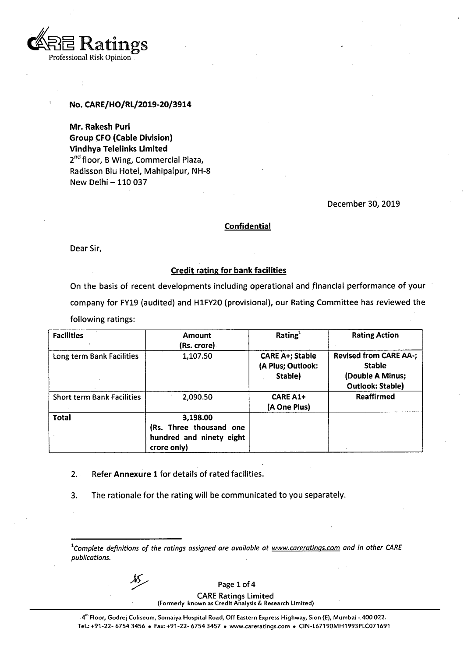

## **No. CARE/HO/RL/2019-20/3914**

**Mr. Rakesh Puri Group CFO (Cable Division) Vindhya Telelinks Limited** 2<sup>nd</sup> floor, B Wing, Commercial Plaza, Radisson Blu Hotel, Mahipalpur, NH-8 New Delhi-110 037

December 30, 2019

#### **Confidential**

Dear Sir,

### **Credit rating for bank facilities**

On the basis of recent developments including operational and financial performance of your company for FY19 (audited) and H1FY20 (provisional), our Rating Committee has reviewed the following ratings:

| <b>Facilities</b>                 | <b>Amount</b><br>(Rs. crore)                                                   | Rating <sup>1</sup>                                    | <b>Rating Action</b>                                                                          |
|-----------------------------------|--------------------------------------------------------------------------------|--------------------------------------------------------|-----------------------------------------------------------------------------------------------|
| Long term Bank Facilities         | 1,107.50                                                                       | <b>CARE A+; Stable</b><br>(A Plus; Outlook:<br>Stable) | <b>Revised from CARE AA-;</b><br><b>Stable</b><br>(Double A Minus;<br><b>Outlook: Stable)</b> |
| <b>Short term Bank Facilities</b> | 2,090.50                                                                       | <b>CARE A1+</b><br>(A One Plus)                        | <b>Reaffirmed</b>                                                                             |
| <b>Total</b>                      | 3,198.00<br>(Rs. Three thousand one<br>hundred and ninety eight<br>crore only) |                                                        |                                                                                               |

- **2. Refer Annexure 1** for details of rated facilities.
- 3. The rationale for the rating will be communicated to you separately.

Page 1 of 4

CARE Ratings Limited **(Formerly known as Credit Analysis & Research Limited)**

*<sup>1</sup>Complete definitions of the ratings assigned are available at www.careratings,com and in other CARE publications.*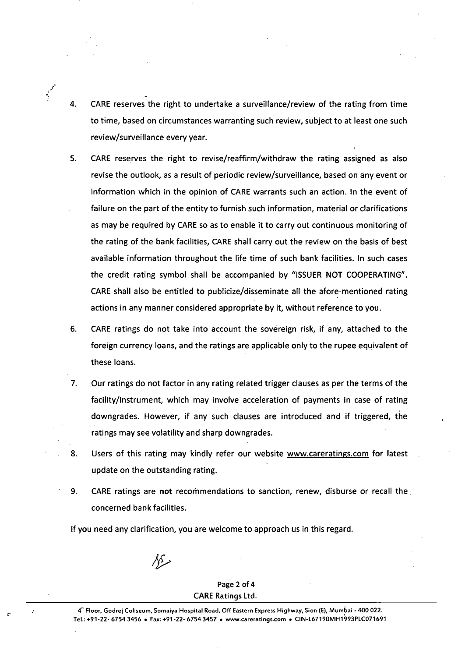CARE reserves the right to undertake a surveillance/review of the rating from time to time, based on circumstances warranting such review, subject to at least one such review/surveillance every year. 4.

.<br>محمد

- CARE reserves the right to revise/reaffirm/withdraw the rating assigned as also revise the outlook, as a result of periodic review/surveillance, based on any event or information which in the opinion of CARE warrants such an action. In the event of failure on the part of the entity to furnish such information, material or clarifications as may be required by CARE so as to enable it to carry out continuous monitoring of the rating of the bank facilities, CARE shall carry out the review on the basis of best available information throughout the life time of such bank facilities. In such cases the credit rating symbol shall be accompanied by "ISSUER NOT COOPERATING". CARE shall also be entitled to publicize/disseminate all the afore-mentioned rating actions in any manner considered appropriate by it, without reference to you. 5.
- CARE ratings do not take into account the sovereign risk, if any, attached to the foreign currency loans, and the ratings are applicable only to the rupee equivalent of these loans. **6.**
- Our ratings do not factor in any rating related trigger clauses as per the terms of the facility/instrument, which may involve acceleration of payments in case of rating downgrades. However, if any such clauses are introduced and if triggered, the ratings may see volatility and sharp downgrades. 7.
- Users of this rating may kindly refer our website [www.careratings.com](http://www.careratings.com) for latest update on the outstanding rating. 8.
- CARE ratings are **not** recommendations to sanction, renew, disburse or recall the. concerned bank facilities. **9.**

If you need any clarification, you are welcome to approach us in this regard.

*fp*

Page 2 of 4 CARE Ratings Ltd.

4<sup>th</sup> Floor, Godrej Coliseum, Somaiya Hospital Road, Off Eastern Express Highway, Sion (E), Mumbai - 400 022. Tel.:+91-22-6754 3456 • Fax:+91-22-6754 3457 • [www.careratings.com](http://www.careratings.com) ♦ CIN-L67190MH1993PLC071691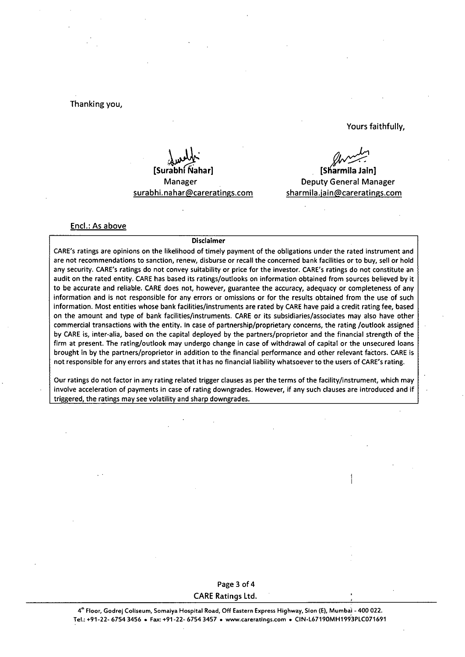### Thanking you,

Yours faithfully,

 $S$ **urabh** Manager surabhi.nahar@careratings.com

**[Sharmila Jain]** Deputy General Manager [sharmila.iain@careratings.com](mailto:sharmila.iain@careratings.com)

> **1 I**

#### Enel.: As above

#### Disclaimer

CARE's ratings are opinions on the likelihood of timely payment of the obligations under the rated instrument and are not recommendations to sanction, renew, disburse or recall the concerned bank facilities or to buy, sell or hold any security. CARE's ratings do not convey suitability or price for the investor. CARE's ratings do not constitute an audit on the rated entity. CARE has based its ratings/outiooks on information obtained from sources believed by it to be accurate and reliable. CARE does not, however, guarantee the accuracy, adequacy or completeness of any information and is not responsible for any errors or omissions or for the results obtained from the use of such information. Most entities whose bank facilities/instruments are rated by CARE have paid a credit rating fee, based on the amount and type of bank facilities/instruments. CARE or its subsidiaries/associates may also have other commercial transactions with the entity. In case of partnership/proprietary concerns, the rating /outlook assigned by CARE is, inter-alia, based on the capital deployed by the partners/proprietor and the financial strength of the firm at present. The rating/outlook may undergo change in case of withdrawal of capital or the unsecured loans brought in by the partners/proprietor in addition to the financial performance and other relevant factors. CARE is not responsible for any errors and states that it has no financial liability whatsoever to the users of CARE's rating.

Our ratings do not factor in any rating related trigger clauses as per the terms of the facility/instrument, which may involve acceleration of payments in case of rating downgrades. However, if any such clauses are introduced and if triggered, the ratings may see volatility and sharp downgrades.

## Page 3 of 4 CARE Ratings Ltd.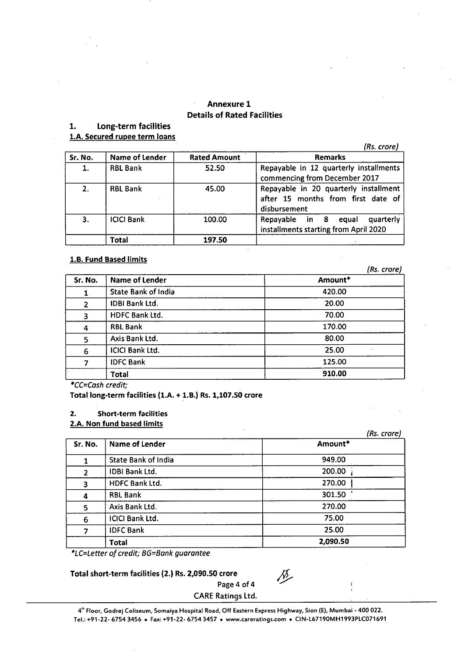# **Annexure 1 Details of Rated Facilities**

## **1. Long-term facilities**

**l.A. Secured rupee term loans**

*(Rs. crore)*

| Sr. No. | Name of Lender    | <b>Rated Amount</b> | <b>Remarks</b>                                                                              |
|---------|-------------------|---------------------|---------------------------------------------------------------------------------------------|
| 1.      | <b>RBL Bank</b>   | 52.50               | Repayable in 12 quarterly installments<br>commencing from December 2017                     |
| 2.      | <b>RBL Bank</b>   | 45.00               | Repayable in 20 quarterly installment<br>after 15 months from first date of<br>disbursement |
| 3.      | <b>ICICI Bank</b> | 100.00              | quarterly<br>Repayable in 8 equal<br>installments starting from April 2020                  |
|         | Total             | 197.50              |                                                                                             |

# **l.B. Fund Based limits**

|                |                            | (Rs. crore) |
|----------------|----------------------------|-------------|
| Sr. No.        | <b>Name of Lender</b>      | Amount*     |
|                | <b>State Bank of India</b> | 420.00      |
| $\overline{2}$ | <b>IDBI Bank Ltd.</b>      | 20.00       |
| 3              | <b>HDFC Bank Ltd.</b>      | 70.00       |
| 4              | <b>RBL Bank</b>            | 170.00      |
| 5              | Axis Bank Ltd.             | 80.00       |
| 6              | <b>ICICI Bank Ltd.</b>     | 25.00       |
|                | <b>IDFC Bank</b>           | 125.00      |
|                | Total                      | 910.00      |

*\*CC=Cash credit;*

**Total long-term facilities (l.A. + l.B.) Rs. 1,107.50 crore**

## **2. Short-term facilities**

## **2.A. Non fund based limits**

|         |                            | (Rs. crore) |
|---------|----------------------------|-------------|
| Sr. No. | Name of Lender             | Amount*     |
|         | <b>State Bank of India</b> | 949.00      |
| 2       | <b>IDBI Bank Ltd.</b>      | 200.00      |
| 3       | HDFC Bank Ltd.             | 270.00      |
| 4       | <b>RBL Bank</b>            | 301.50      |
| 5       | Axis Bank Ltd.             | 270.00      |
| 6       | <b>ICICI Bank Ltd.</b>     | 75.00       |
| 7       | <b>IDFC Bank</b>           | 25.00       |
|         | <b>Total</b>               | 2,090.50    |

*\*LC=Letter of credit; BG=Bank guarantee*

## **Total short-term facilities (2.) Rs. 2,090.50 crore**

 $\sqrt{2}$ 

CARE Ratings Ltd.

Page 4 of 4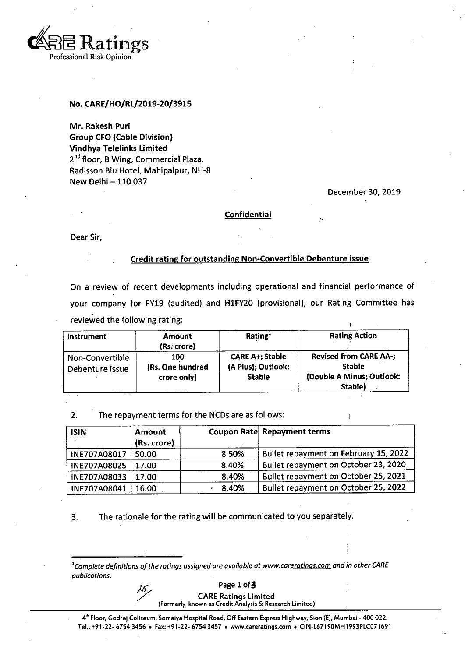

### **No. CARE/HO/RL/2019-20/3915**

**Mr. Rakesh Puri Group CFO (Cable Division) Vindhya Tefelinks Limited** 2<sup>nd</sup> floor, B Wing, Commercial Plaza, Radisson BIu Hotel, Mahipalpur, NH-8 New Delhi-110 037

December 30, 2019

#### **Confidential**

Dear Sir,

## **Credit rating for outstanding Non-Convertibie Debenture issue**

On a review of recent developments including operational and financial performance of your company for FY19 (audited) and H1FY20 (provisional), our Rating Committee has reviewed the following rating:

| <b>Instrument</b>                  | <b>Amount</b><br>(Rs. crore)           | Rating <sup>1</sup>                                           | <b>Rating Action</b>                                                                   |
|------------------------------------|----------------------------------------|---------------------------------------------------------------|----------------------------------------------------------------------------------------|
| Non-Convertible<br>Debenture issue | 100<br>(Rs. One hundred<br>crore only) | <b>CARE A+; Stable</b><br>(A Plus); Outlook:<br><b>Stable</b> | <b>Revised from CARE AA-;</b><br><b>Stable</b><br>(Double A Minus; Outlook:<br>Stable) |

2. The repayment terms for the NCDs are as follows:

| <b>ISIN</b>  | Amount<br>(Rs. crore) |       | Coupon Rate Repayment terms           |
|--------------|-----------------------|-------|---------------------------------------|
| INE707A08017 | 50.00                 | 8.50% | Bullet repayment on February 15, 2022 |
| INE707A08025 | 17.00                 | 8.40% | Bullet repayment on October 23, 2020  |
| INE707A08033 | 17.00                 | 8.40% | Bullet repayment on October 25, 2021  |
| INE707A08041 | 16.00                 | 8.40% | Bullet repayment on October 25, 2022  |

3. The rationale for the rating will be communicated to you separately.

*1Complete definitions ofthe ratings assignedare available at [www.careratinas.com](http://www.careratinas.com) andin other CARE publications.*

Page 1 of 3

CARE Ratings Limited **(Formerly known as Credit Analysis & Research Limited)**

4th Floor, Godrej Coliseum, Somaiya Hospital Road, Off Eastern Express Highway, Sion (E), Mumbai - 400 022. **Tel.:+91-22-6754 <sup>3456</sup> • Fax:+91-22-6754 <sup>3457</sup> . [www.careratings.com](http://www.careratings.com) \* CIN-L67190MH1993PLC071691**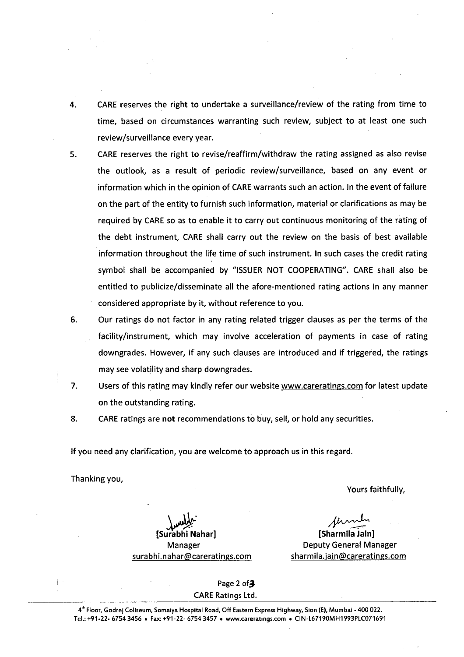- CARE reserves the right to undertake a surveiliance/review of the rating from time to time, based on circumstances warranting such review, subject to at least one such review/surveillance every year. 4.
- CARE reserves the right to revise/reaffirm/withdraw the rating assigned as also revise the outlook, as a result of periodic review/surveillance, based on any event or information which in the opinion of CARE warrants such an action. In the event of failure on the part of the entity to furnish such information, material or clarifications as may be required by CARE so as to enable it to carry out continuous monitoring of the rating of the debt instrument, CARE shall carry out the review on the basis of best available information throughout the life time of such instrument. In such cases the credit rating symbol shall be accompanied by "ISSUER NOT COOPERATING". CARE shall also be entitled to publicize/disseminate all the afore-mentioned rating actions in any manner considered appropriate by it, without reference to you. 5.
- Our ratings do not factor in any rating related trigger clauses as per the terms of the facility/instrument, which may involve acceleration of payments in case of rating downgrades. However, if any such clauses are introduced and if triggered, the ratings may see volatility and sharp downgrades. 6.
- Users of this rating may kindly refer our website [www.careratings.com](http://www.careratings.com) for latest update on the outstanding rating. 7.
- CARE ratings are **not** recommendations to buy, sell, or hold any securities. 8.

If you need any clarification, you are welcome to approach us in this regard.

Thanking you,

Yours faithfully,

**[Surabhi Nahar]** Manager [surabhi.nahar@careratings.com](mailto:surabhi.nahar@careratings.com)

**[Sharmila Jain]** Deputy General Manager sharmila.jain@careratings.com

Page 2 of 3 CARE Ratings Ltd.